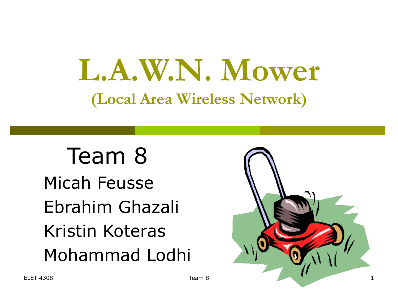# **L.A.W.N. Mower (Local Area Wireless Network)**

 Team 8 Micah Feusse Ebrahim Ghazali Kristin Koteras Mohammad Lodhi

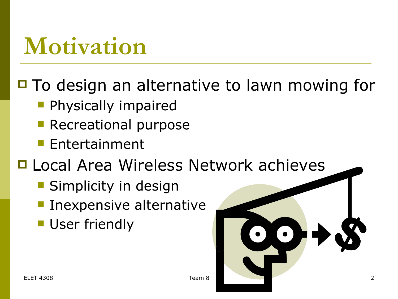### **Motivation**

 $\Box$  To design an alternative to lawn mowing for

- **Physically impaired**
- **Recreational purpose**
- **Entertainment**
- □ Local Area Wireless Network achieves
	- **Simplicity in design**
	- **Inexpensive alternative**
	- **User friendly**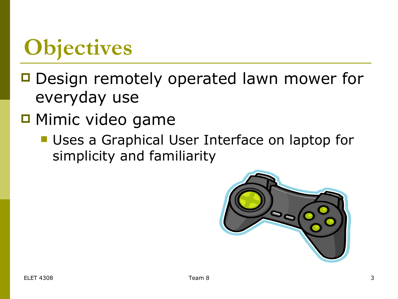# **Objectives**

- □ Design remotely operated lawn mower for everyday use
- $\blacksquare$  Mimic video game
	- **Uses a Graphical User Interface on laptop for** simplicity and familiarity

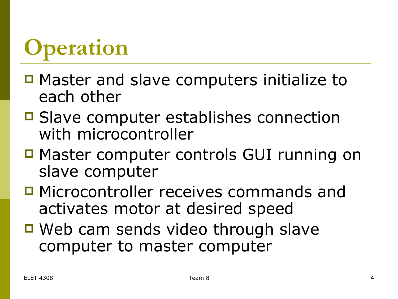# **Operation**

- Master and slave computers initialize to each other
- **□ Slave computer establishes connection** with microcontroller
- Master computer controls GUI running on slave computer
- □ Microcontroller receives commands and activates motor at desired speed
- Web cam sends video through slave computer to master computer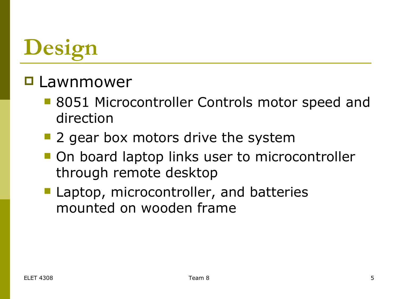# **Design**

#### □ Lawnmower

- 8051 Microcontroller Controls motor speed and direction
- 2 gear box motors drive the system
- **On board laptop links user to microcontroller** through remote desktop
- **Laptop, microcontroller, and batteries** mounted on wooden frame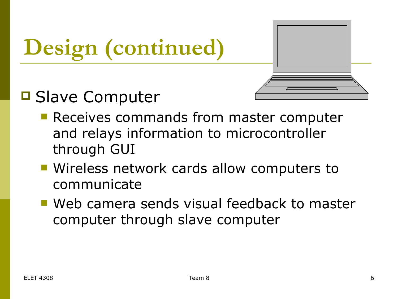# **Design (continued)**

#### **□ Slave Computer**

- **Receives commands from master computer** and relays information to microcontroller through GUI
- Wireless network cards allow computers to communicate
- **Web camera sends visual feedback to master** computer through slave computer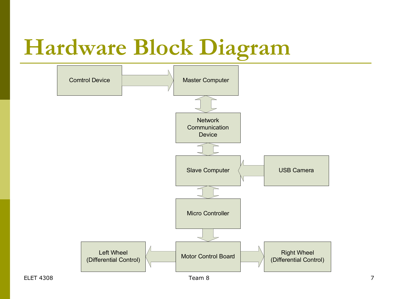# **Hardware Block Diagram**

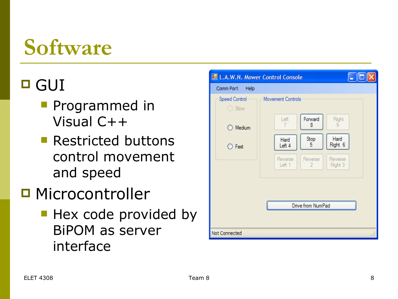### **Software**

#### □ GUI

- **Programmed in** Visual C++
- **Restricted buttons** control movement and speed
- **□ Microcontroller** 
	- **Hex code provided by** BiPOM as server interface

| L.A.W.N. Mower Control Console<br>Comm Port<br>Help |                                                                      |  |  |  |  |  |  |  |  |
|-----------------------------------------------------|----------------------------------------------------------------------|--|--|--|--|--|--|--|--|
| Speed Control<br>$\bigcirc$ Slow                    | Movement Controls                                                    |  |  |  |  |  |  |  |  |
| Medium                                              | Forward<br>Left<br>Right<br>9<br>8<br>7                              |  |  |  |  |  |  |  |  |
| ◯ Fast                                              | Hard<br>Stop<br>Hard<br>Right 6<br>5<br>Left 4                       |  |  |  |  |  |  |  |  |
|                                                     | Reverse<br>Reverse<br>Reverse<br>Right 3<br>Left 1<br>$\overline{2}$ |  |  |  |  |  |  |  |  |
|                                                     |                                                                      |  |  |  |  |  |  |  |  |
| Drive from NumPad                                   |                                                                      |  |  |  |  |  |  |  |  |
|                                                     |                                                                      |  |  |  |  |  |  |  |  |
| Not Connected                                       |                                                                      |  |  |  |  |  |  |  |  |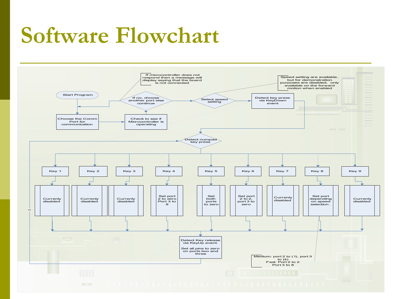#### **Software Flowchart**

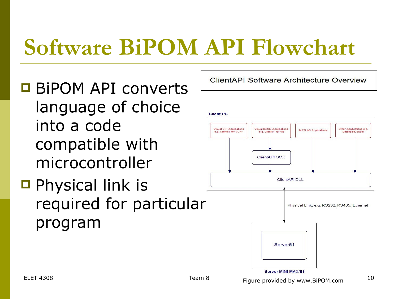## **Software BiPOM API Flowchart**

- BiPOM API converts language of choice into a code compatible with microcontroller
- $\Box$  Physical link is required for particular program

ClientAPI Software Architecture Overview



Server MINI-MAX/51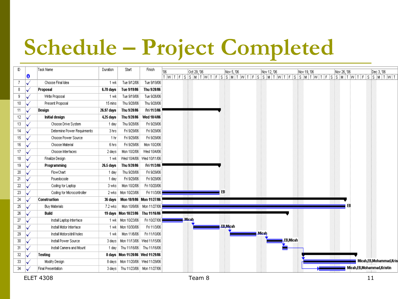# **Schedule – Project Completed**

| D  |   | Task Name                   | Duration   | Start                                | Finish                      |       |                 |              |                           |
|----|---|-----------------------------|------------|--------------------------------------|-----------------------------|-------|-----------------|--------------|---------------------------|
|    | 0 |                             |            |                                      |                             |       |                 |              |                           |
| 7  |   | Choose Final Idea           | 1 wk       | Tue 9/12/06                          | Tue 9/19/06                 |       |                 |              |                           |
| 8  |   | Proposal                    | 6.78 days  | Tue 9/19/06                          | Thu 9/28/06                 |       |                 |              |                           |
| 9  |   | Write Proposal              | 1 wk       | Tue 9/19/06                          | Tue 9/26/06                 |       |                 |              |                           |
| 10 |   | Present Proposal            | 15 mins    | Thu 9/28/06                          | Thu 9/28/06                 |       |                 |              |                           |
| 11 |   | Design                      | 26.97 days | Thu 9/28/06                          | Fri 11/3/06                 |       |                 |              |                           |
| 12 |   | Initial design              | 4.25 days  | Thu 9/28/06                          | Wed 10/4/06                 |       |                 |              |                           |
| 13 |   | Choose Drive System         | 1 day      | Thu 9/28/06                          | Fri 9/29/06                 |       |                 |              |                           |
| 14 |   | Determine Power Requirments | 3 hrs      | Fri 9/29/06                          | Fri 9/29/06                 |       |                 |              |                           |
| 15 |   | Choose Power Source         | 1 hr       | Fri 9/29/06                          | Fri 9/29/06                 |       |                 |              |                           |
| 16 |   | Choose Material             | 6 hrs      | Fri 9/29/06                          | Mon 10/2/06                 |       |                 |              |                           |
| 17 |   | Choose Interfaces           | 2 days     | Mon 10/2/06                          | Wed 10/4/06                 |       |                 |              |                           |
| 18 |   | Finalize Design             | 1 wk       |                                      | Wed 10/4/06   Wed 10/11/06  |       |                 |              |                           |
| 19 |   | Programming                 | 26.5 days  | Thu 9/28/06                          | Fri 11/3/06                 |       |                 |              |                           |
| 20 |   | FlowChart                   | 1 day      | Thu 9/28/06                          | Fri 9/29/06                 |       |                 |              |                           |
| 21 |   | Psuedocode                  | 1 day      | Fri 9/29/06                          | Fri 9/29/06                 |       |                 |              |                           |
| 22 |   | Coding for Laptop           | 3 wks      | Mon 10/2/06                          | Fri 10/20/06                |       |                 |              |                           |
| 23 |   | Coding for Microcontroller  | 2 wks      | Mon 10/23/06                         | Fri 11/3/06                 |       | EB              |              |                           |
| 24 |   | <b>Construction</b>         | 36 days    | Mon 10/9/06   Mon 11/27/06           |                             |       |                 |              |                           |
| 25 |   | <b>Buy Materials</b>        | 7.2 wks    | Mon 10/9/06                          | Mon 11/27/06                |       |                 |              |                           |
| 26 |   | <b>Build</b>                |            | 19 days   Mon 10/23/06               | Thu 11/16/06                |       |                 |              |                           |
| 27 |   | Install Laptop Interface    | 1 wk       | Mon 10/23/06                         | Fri 10/27/06                | Micah |                 |              |                           |
| 28 |   | Install Motor Interface     | 1 wk       | Mon 10/30/06                         | Fri 11/3/06                 |       | <b>EB Micah</b> |              |                           |
| 29 |   | Install Motors/drill holes  | 1 wk       | Mon 11/6/06                          | Fri 11/10/06                |       |                 | <b>Micah</b> |                           |
| 30 |   | Install Power Source        |            | 3 days   Mon 11/13/06   Wed 11/15/06 |                             |       |                 | EB,Micah     |                           |
| 31 |   | Install Camera and Mount    | 1 day      |                                      | Thu 11/16/06   Thu 11/16/06 |       |                 |              |                           |
| 32 |   | Testing                     |            | 8 days   Mon 11/20/06   Wed 11/29/06 |                             |       |                 |              |                           |
| 33 |   | Modify Design               |            | 8 days   Mon 11/20/06   Wed 11/29/06 |                             |       |                 |              | Micah,EB,Mohammad,Kris    |
| 34 |   | <b>Final Presentation</b>   |            | 3 days   Thu 11/23/06   Mon 11/27/06 |                             |       |                 |              | Micah,EB,Mohammad,Kristin |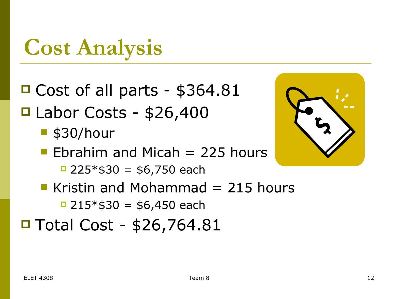### **Cost Analysis**

- Cost of all parts \$364.81  $\blacksquare$  Labor Costs - \$26,400
	- $\blacksquare$  \$30/hour
	- **Ebrahim and Micah = 225 hours**  $\Box$  225  $*$ \$30 = \$6,750 each
	- Kristin and Mohammad  $= 215$  hours  $\Box$  215  $*$  \$30 = \$6,450 each
- $\blacksquare$  Total Cost \$26,764.81

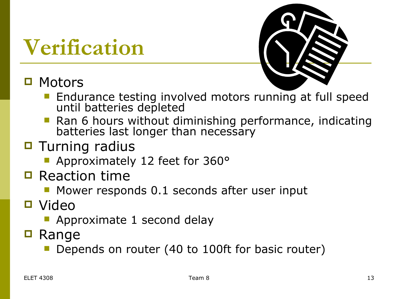### **Verification**

#### **□ Motors**



- Endurance testing involved motors running at full speed until batteries depleted
- **Ran 6 hours without diminishing performance, indicating** batteries last longer than necessary
- $\blacksquare$  Turning radius
	- **Approximately 12 feet for 360°**
- $\Box$  Reaction time
	- **Mower responds 0.1 seconds after user input**
- Video
	- Approximate 1 second delay
- $\blacksquare$  Range
	- Depends on router (40 to 100ft for basic router)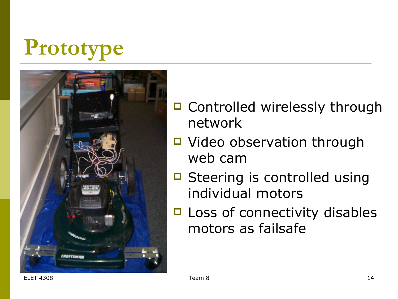# **Prototype**



- □ Controlled wirelessly through network
- Video observation through web cam
- Steering is controlled using individual motors
- □ Loss of connectivity disables motors as failsafe